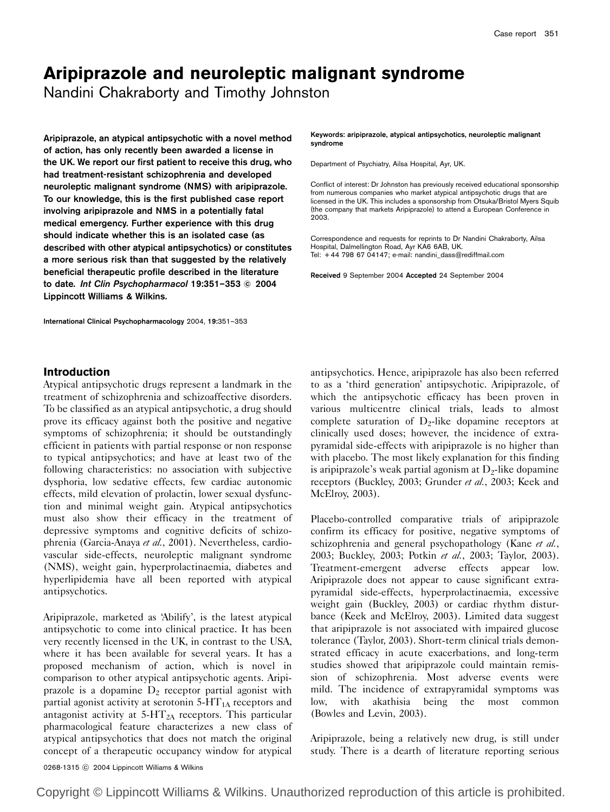# Aripiprazole and neuroleptic malignant syndrome

Nandini Chakraborty and Timothy Johnston

Aripiprazole, an atypical antipsychotic with a novel method of action, has only recently been awarded a license in the UK. We report our first patient to receive this drug, who had treatment-resistant schizophrenia and developed neuroleptic malignant syndrome (NMS) with aripiprazole. To our knowledge, this is the first published case report involving aripiprazole and NMS in a potentially fatal medical emergency. Further experience with this drug should indicate whether this is an isolated case (as described with other atypical antipsychotics) or constitutes a more serious risk than that suggested by the relatively beneficial therapeutic profile described in the literature to date. Int Clin Psychopharmacol 19:351-353 © 2004 Lippincott Williams & Wilkins.

International Clinical Psychopharmacology 2004, 19:351–353

Keywords: aripiprazole, atypical antipsychotics, neuroleptic malignant syndrome

Department of Psychiatry, Ailsa Hospital, Ayr, UK.

Conflict of interest: Dr Johnston has previously received educational sponsorship from numerous companies who market atypical antipsychotic drugs that are licensed in the UK. This includes a sponsorship from Otsuka/Bristol Myers Squib (the company that markets Aripiprazole) to attend a European Conference in 2003.

Correspondence and requests for reprints to Dr Nandini Chakraborty, Ailsa Hospital, Dalmellington Road, Ayr KA6 6AB, UK. Tel: + 44 798 67 04147; e-mail: nandini\_dass@rediffmail.com

Received 9 September 2004 Accepted 24 September 2004

## Introduction

Atypical antipsychotic drugs represent a landmark in the treatment of schizophrenia and schizoaffective disorders. To be classified as an atypical antipsychotic, a drug should prove its efficacy against both the positive and negative symptoms of schizophrenia; it should be outstandingly efficient in patients with partial response or non response to typical antipsychotics; and have at least two of the following characteristics: no association with subjective dysphoria, low sedative effects, few cardiac autonomic effects, mild elevation of prolactin, lower sexual dysfunction and minimal weight gain. Atypical antipsychotics must also show their efficacy in the treatment of depressive symptoms and cognitive deficits of schizophrenia (Garcia-Anaya et al., 2001). Nevertheless, cardiovascular side-effects, neuroleptic malignant syndrome (NMS), weight gain, hyperprolactinaemia, diabetes and hyperlipidemia have all been reported with atypical antipsychotics.

Aripiprazole, marketed as 'Abilify', is the latest atypical antipsychotic to come into clinical practice. It has been very recently licensed in the UK, in contrast to the USA, where it has been available for several years. It has a proposed mechanism of action, which is novel in comparison to other atypical antipsychotic agents. Aripiprazole is a dopamine  $D_2$  receptor partial agonist with partial agonist activity at serotonin  $5-HT_{1A}$  receptors and antagonist activity at  $5-HT_{2A}$  receptors. This particular pharmacological feature characterizes a new class of atypical antipsychotics that does not match the original concept of a therapeutic occupancy window for atypical antipsychotics. Hence, aripiprazole has also been referred to as a 'third generation' antipsychotic. Aripiprazole, of which the antipsychotic efficacy has been proven in various multicentre clinical trials, leads to almost complete saturation of  $D_2$ -like dopamine receptors at clinically used doses; however, the incidence of extrapyramidal side-effects with aripiprazole is no higher than with placebo. The most likely explanation for this finding is aripiprazole's weak partial agonism at  $D_2$ -like dopamine receptors (Buckley, 2003; Grunder et al., 2003; Keek and McElroy, 2003).

Placebo-controlled comparative trials of aripiprazole confirm its efficacy for positive, negative symptoms of schizophrenia and general psychopathology (Kane et al., 2003; Buckley, 2003; Potkin et al., 2003; Taylor, 2003). Treatment-emergent adverse effects appear low. Aripiprazole does not appear to cause significant extrapyramidal side-effects, hyperprolactinaemia, excessive weight gain (Buckley, 2003) or cardiac rhythm disturbance (Keek and McElroy, 2003). Limited data suggest that aripiprazole is not associated with impaired glucose tolerance (Taylor, 2003). Short-term clinical trials demonstrated efficacy in acute exacerbations, and long-term studies showed that aripiprazole could maintain remission of schizophrenia. Most adverse events were mild. The incidence of extrapyramidal symptoms was low, with akathisia being the most common (Bowles and Levin, 2003).

Aripiprazole, being a relatively new drug, is still under study. There is a dearth of literature reporting serious

0268-1315 C 2004 Lippincott Williams & Wilkins

Copyright © Lippincott Williams & Wilkins. Unauthorized reproduction of this article is prohibited.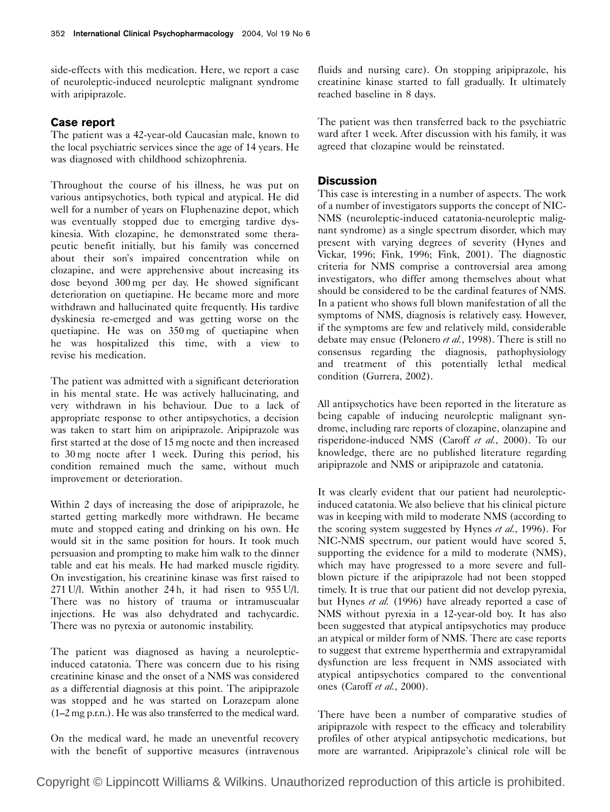side-effects with this medication. Here, we report a case of neuroleptic-induced neuroleptic malignant syndrome with aripiprazole.

### Case report

The patient was a 42-year-old Caucasian male, known to the local psychiatric services since the age of 14 years. He was diagnosed with childhood schizophrenia.

Throughout the course of his illness, he was put on various antipsychotics, both typical and atypical. He did well for a number of years on Fluphenazine depot, which was eventually stopped due to emerging tardive dyskinesia. With clozapine, he demonstrated some therapeutic benefit initially, but his family was concerned about their son's impaired concentration while on clozapine, and were apprehensive about increasing its dose beyond 300 mg per day. He showed significant deterioration on quetiapine. He became more and more withdrawn and hallucinated quite frequently. His tardive dyskinesia re-emerged and was getting worse on the quetiapine. He was on 350 mg of quetiapine when he was hospitalized this time, with a view to revise his medication.

The patient was admitted with a significant deterioration in his mental state. He was actively hallucinating, and very withdrawn in his behaviour. Due to a lack of appropriate response to other antipsychotics, a decision was taken to start him on aripiprazole. Aripiprazole was first started at the dose of 15 mg nocte and then increased to 30 mg nocte after 1 week. During this period, his condition remained much the same, without much improvement or deterioration.

Within 2 days of increasing the dose of aripiprazole, he started getting markedly more withdrawn. He became mute and stopped eating and drinking on his own. He would sit in the same position for hours. It took much persuasion and prompting to make him walk to the dinner table and eat his meals. He had marked muscle rigidity. On investigation, his creatinine kinase was first raised to 271 U/l. Within another 24 h, it had risen to 955 U/l. There was no history of trauma or intramuscualar injections. He was also dehydrated and tachycardic. There was no pyrexia or autonomic instability.

The patient was diagnosed as having a neurolepticinduced catatonia. There was concern due to his rising creatinine kinase and the onset of a NMS was considered as a differential diagnosis at this point. The aripiprazole was stopped and he was started on Lorazepam alone (1–2 mg p.r.n.). He was also transferred to the medical ward.

On the medical ward, he made an uneventful recovery with the benefit of supportive measures (intravenous fluids and nursing care). On stopping aripiprazole, his creatinine kinase started to fall gradually. It ultimately reached baseline in 8 days.

The patient was then transferred back to the psychiatric ward after 1 week. After discussion with his family, it was agreed that clozapine would be reinstated.

#### **Discussion**

This case is interesting in a number of aspects. The work of a number of investigators supports the concept of NIC-NMS (neuroleptic-induced catatonia-neuroleptic malignant syndrome) as a single spectrum disorder, which may present with varying degrees of severity (Hynes and Vickar, 1996; Fink, 1996; Fink, 2001). The diagnostic criteria for NMS comprise a controversial area among investigators, who differ among themselves about what should be considered to be the cardinal features of NMS. In a patient who shows full blown manifestation of all the symptoms of NMS, diagnosis is relatively easy. However, if the symptoms are few and relatively mild, considerable debate may ensue (Pelonero et al., 1998). There is still no consensus regarding the diagnosis, pathophysiology and treatment of this potentially lethal medical condition (Gurrera, 2002).

All antipsychotics have been reported in the literature as being capable of inducing neuroleptic malignant syndrome, including rare reports of clozapine, olanzapine and risperidone-induced NMS (Caroff et al., 2000). To our knowledge, there are no published literature regarding aripiprazole and NMS or aripiprazole and catatonia.

It was clearly evident that our patient had neurolepticinduced catatonia. We also believe that his clinical picture was in keeping with mild to moderate NMS (according to the scoring system suggested by Hynes et al., 1996). For NIC-NMS spectrum, our patient would have scored 5, supporting the evidence for a mild to moderate (NMS), which may have progressed to a more severe and fullblown picture if the aripiprazole had not been stopped timely. It is true that our patient did not develop pyrexia, but Hynes et al. (1996) have already reported a case of NMS without pyrexia in a 12-year-old boy. It has also been suggested that atypical antipsychotics may produce an atypical or milder form of NMS. There are case reports to suggest that extreme hyperthermia and extrapyramidal dysfunction are less frequent in NMS associated with atypical antipsychotics compared to the conventional ones (Caroff et al., 2000).

There have been a number of comparative studies of aripiprazole with respect to the efficacy and tolerability profiles of other atypical antipsychotic medications, but more are warranted. Aripiprazole's clinical role will be